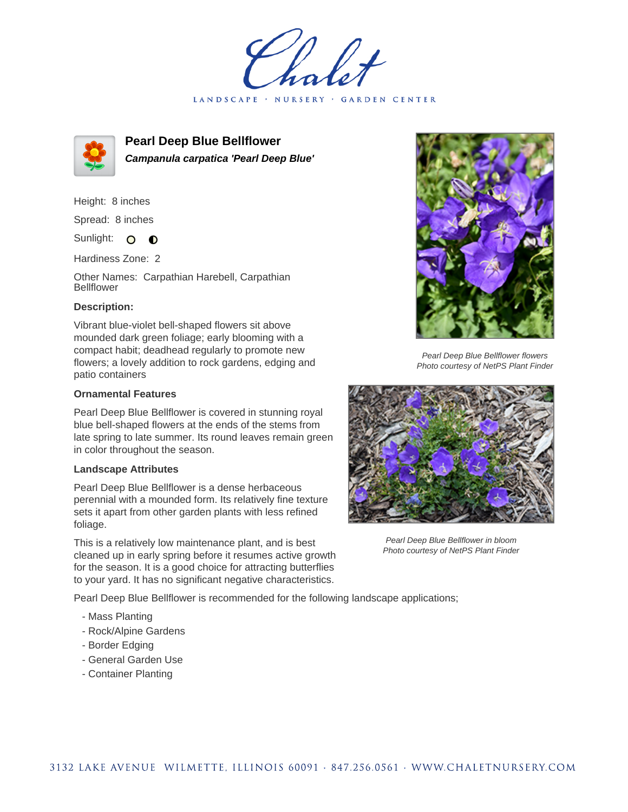LANDSCAPE · NURSERY · GARDEN CENTER



**Pearl Deep Blue Bellflower Campanula carpatica 'Pearl Deep Blue'**

Height: 8 inches

Spread: 8 inches

Sunlight: O  $\bullet$ 

Hardiness Zone: 2

Other Names: Carpathian Harebell, Carpathian Bellflower

## **Description:**

Vibrant blue-violet bell-shaped flowers sit above mounded dark green foliage; early blooming with a compact habit; deadhead regularly to promote new flowers; a lovely addition to rock gardens, edging and patio containers

## **Ornamental Features**

Pearl Deep Blue Bellflower is covered in stunning royal blue bell-shaped flowers at the ends of the stems from late spring to late summer. Its round leaves remain green in color throughout the season.

## **Landscape Attributes**

Pearl Deep Blue Bellflower is a dense herbaceous perennial with a mounded form. Its relatively fine texture sets it apart from other garden plants with less refined foliage.

This is a relatively low maintenance plant, and is best cleaned up in early spring before it resumes active growth for the season. It is a good choice for attracting butterflies to your yard. It has no significant negative characteristics.

Pearl Deep Blue Bellflower is recommended for the following landscape applications;

- Mass Planting
- Rock/Alpine Gardens
- Border Edging
- General Garden Use
- Container Planting



Pearl Deep Blue Bellflower flowers Photo courtesy of NetPS Plant Finder



Pearl Deep Blue Bellflower in bloom Photo courtesy of NetPS Plant Finder